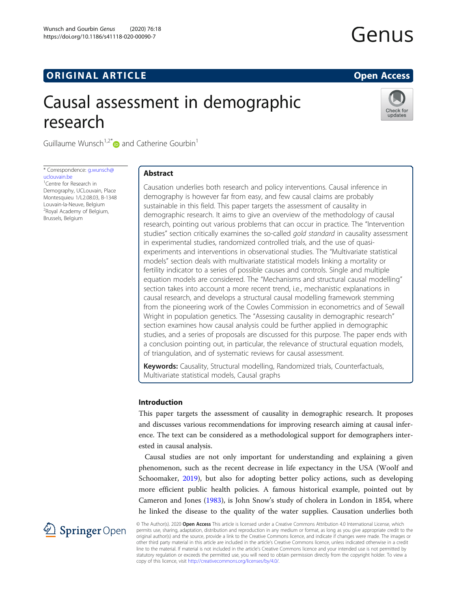# **ORIGINAL ARTICLE CONSUMING A LIGACION** CONSUMING A LIGACION CONSUMING A LIGACION CONSUMING A LIGACION CONSUMING A LIGACION CONSUMING A LIGACION CONSUMING A LIGACION CONSUMING A LIGACION CONSUMING A LIGACION CONSUMING A

# Causal assessment in demographic research



Guillaume Wunsch<sup>1,2[\\*](http://orcid.org/0000-0002-2344-5251)</sup> and Catherine Gourbin<sup>1</sup>

\* Correspondence: [g.wunsch@](mailto:g.wunsch@uclouvain.be) [uclouvain.be](mailto:g.wunsch@uclouvain.be)

<sup>1</sup> Centre for Research in Demography, UCLouvain, Place Montesquieu 1/L2.08.03, B-1348 Louvain-la-Neuve, Belgium 2 Royal Academy of Belgium, Brussels, Belgium

# Abstract

Causation underlies both research and policy interventions. Causal inference in demography is however far from easy, and few causal claims are probably sustainable in this field. This paper targets the assessment of causality in demographic research. It aims to give an overview of the methodology of causal research, pointing out various problems that can occur in practice. The "Intervention studies" section critically examines the so-called gold standard in causality assessment in experimental studies, randomized controlled trials, and the use of quasiexperiments and interventions in observational studies. The "Multivariate statistical models" section deals with multivariate statistical models linking a mortality or fertility indicator to a series of possible causes and controls. Single and multiple equation models are considered. The "Mechanisms and structural causal modelling" section takes into account a more recent trend, i.e., mechanistic explanations in causal research, and develops a structural causal modelling framework stemming from the pioneering work of the Cowles Commission in econometrics and of Sewall Wright in population genetics. The "Assessing causality in demographic research" section examines how causal analysis could be further applied in demographic studies, and a series of proposals are discussed for this purpose. The paper ends with a conclusion pointing out, in particular, the relevance of structural equation models, of triangulation, and of systematic reviews for causal assessment.

Keywords: Causality, Structural modelling, Randomized trials, Counterfactuals, Multivariate statistical models, Causal graphs

#### Introduction

This paper targets the assessment of causality in demographic research. It proposes and discusses various recommendations for improving research aiming at causal inference. The text can be considered as a methodological support for demographers interested in causal analysis.

Causal studies are not only important for understanding and explaining a given phenomenon, such as the recent decrease in life expectancy in the USA (Woolf and Schoomaker, [2019\)](#page-19-0), but also for adopting better policy actions, such as developing more efficient public health policies. A famous historical example, pointed out by Cameron and Jones ([1983](#page-17-0)), is John Snow's study of cholera in London in 1854, where he linked the disease to the quality of the water supplies. Causation underlies both

2 Springer Open

© The Author(s). 2020 Open Access This article is licensed under a Creative Commons Attribution 4.0 International License, which permits use, sharing, adaptation, distribution and reproduction in any medium or format, as long as you give appropriate credit to the original author(s) and the source, provide a link to the Creative Commons licence, and indicate if changes were made. The images or other third party material in this article are included in the article's Creative Commons licence, unless indicated otherwise in a credit line to the material. If material is not included in the article's Creative Commons licence and your intended use is not permitted by statutory regulation or exceeds the permitted use, you will need to obtain permission directly from the copyright holder. To view a copy of this licence, visit <http://creativecommons.org/licenses/by/4.0/>.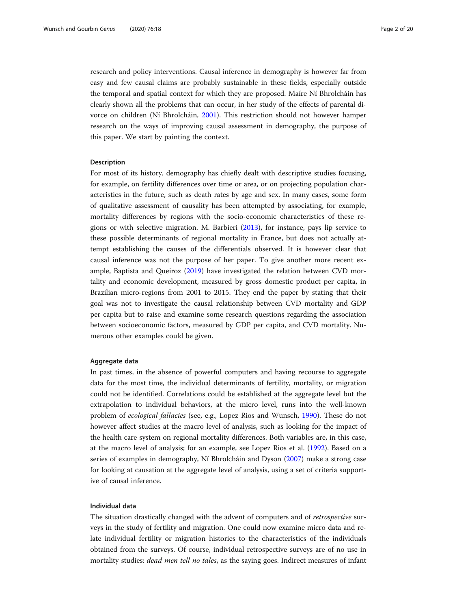research and policy interventions. Causal inference in demography is however far from easy and few causal claims are probably sustainable in these fields, especially outside the temporal and spatial context for which they are proposed. Maíre Ní Bhrolcháin has clearly shown all the problems that can occur, in her study of the effects of parental divorce on children (Ní Bhrolcháin, [2001\)](#page-18-0). This restriction should not however hamper research on the ways of improving causal assessment in demography, the purpose of this paper. We start by painting the context.

#### Description

For most of its history, demography has chiefly dealt with descriptive studies focusing, for example, on fertility differences over time or area, or on projecting population characteristics in the future, such as death rates by age and sex. In many cases, some form of qualitative assessment of causality has been attempted by associating, for example, mortality differences by regions with the socio-economic characteristics of these regions or with selective migration. M. Barbieri ([2013\)](#page-17-0), for instance, pays lip service to these possible determinants of regional mortality in France, but does not actually attempt establishing the causes of the differentials observed. It is however clear that causal inference was not the purpose of her paper. To give another more recent example, Baptista and Queiroz [\(2019\)](#page-17-0) have investigated the relation between CVD mortality and economic development, measured by gross domestic product per capita, in Brazilian micro-regions from 2001 to 2015. They end the paper by stating that their goal was not to investigate the causal relationship between CVD mortality and GDP per capita but to raise and examine some research questions regarding the association between socioeconomic factors, measured by GDP per capita, and CVD mortality. Numerous other examples could be given.

## Aggregate data

In past times, in the absence of powerful computers and having recourse to aggregate data for the most time, the individual determinants of fertility, mortality, or migration could not be identified. Correlations could be established at the aggregate level but the extrapolation to individual behaviors, at the micro level, runs into the well-known problem of ecological fallacies (see, e.g., Lopez Rios and Wunsch, [1990](#page-18-0)). These do not however affect studies at the macro level of analysis, such as looking for the impact of the health care system on regional mortality differences. Both variables are, in this case, at the macro level of analysis; for an example, see Lopez Rios et al. ([1992](#page-18-0)). Based on a series of examples in demography, Ní Bhrolcháin and Dyson [\(2007\)](#page-18-0) make a strong case for looking at causation at the aggregate level of analysis, using a set of criteria supportive of causal inference.

#### Individual data

The situation drastically changed with the advent of computers and of retrospective surveys in the study of fertility and migration. One could now examine micro data and relate individual fertility or migration histories to the characteristics of the individuals obtained from the surveys. Of course, individual retrospective surveys are of no use in mortality studies: dead men tell no tales, as the saying goes. Indirect measures of infant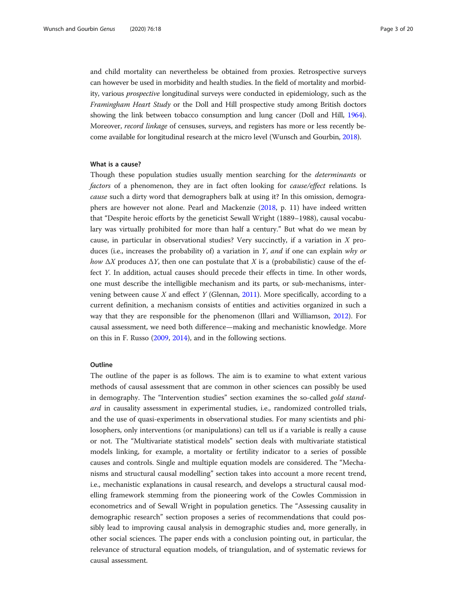and child mortality can nevertheless be obtained from proxies. Retrospective surveys can however be used in morbidity and health studies. In the field of mortality and morbidity, various prospective longitudinal surveys were conducted in epidemiology, such as the Framingham Heart Study or the Doll and Hill prospective study among British doctors showing the link between tobacco consumption and lung cancer (Doll and Hill, [1964](#page-18-0)). Moreover, record linkage of censuses, surveys, and registers has more or less recently become available for longitudinal research at the micro level (Wunsch and Gourbin, [2018\)](#page-19-0).

#### What is a cause?

Though these population studies usually mention searching for the determinants or factors of a phenomenon, they are in fact often looking for *cause/effect* relations. Is cause such a dirty word that demographers balk at using it? In this omission, demographers are however not alone. Pearl and Mackenzie ([2018,](#page-19-0) p. 11) have indeed written that "Despite heroic efforts by the geneticist Sewall Wright (1889–1988), causal vocabulary was virtually prohibited for more than half a century." But what do we mean by cause, in particular in observational studies? Very succinctly, if a variation in  $X$  produces (i.e., increases the probability of) a variation in Y, and if one can explain why or how  $\Delta X$  produces  $\Delta Y$ , then one can postulate that X is a (probabilistic) cause of the effect Y. In addition, actual causes should precede their effects in time. In other words, one must describe the intelligible mechanism and its parts, or sub-mechanisms, intervening between cause  $X$  and effect  $Y$  (Glennan, [2011](#page-18-0)). More specifically, according to a current definition, a mechanism consists of entities and activities organized in such a way that they are responsible for the phenomenon (Illari and Williamson, [2012](#page-18-0)). For causal assessment, we need both difference—making and mechanistic knowledge. More on this in F. Russo [\(2009,](#page-19-0) [2014\)](#page-19-0), and in the following sections.

#### **Outline**

The outline of the paper is as follows. The aim is to examine to what extent various methods of causal assessment that are common in other sciences can possibly be used in demography. The "Intervention studies" section examines the so-called gold standard in causality assessment in experimental studies, i.e., randomized controlled trials, and the use of quasi-experiments in observational studies. For many scientists and philosophers, only interventions (or manipulations) can tell us if a variable is really a cause or not. The "Multivariate statistical models" section deals with multivariate statistical models linking, for example, a mortality or fertility indicator to a series of possible causes and controls. Single and multiple equation models are considered. The "Mechanisms and structural causal modelling" section takes into account a more recent trend, i.e., mechanistic explanations in causal research, and develops a structural causal modelling framework stemming from the pioneering work of the Cowles Commission in econometrics and of Sewall Wright in population genetics. The "Assessing causality in demographic research" section proposes a series of recommendations that could possibly lead to improving causal analysis in demographic studies and, more generally, in other social sciences. The paper ends with a conclusion pointing out, in particular, the relevance of structural equation models, of triangulation, and of systematic reviews for causal assessment.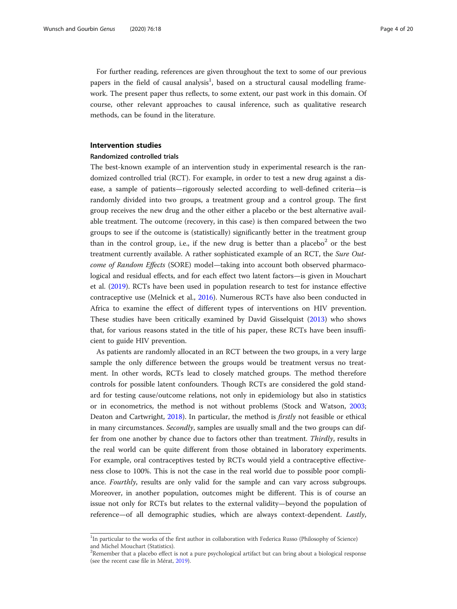<span id="page-3-0"></span>For further reading, references are given throughout the text to some of our previous papers in the field of causal analysis<sup>1</sup>, based on a structural causal modelling framework. The present paper thus reflects, to some extent, our past work in this domain. Of course, other relevant approaches to causal inference, such as qualitative research methods, can be found in the literature.

#### Intervention studies

#### Randomized controlled trials

The best-known example of an intervention study in experimental research is the randomized controlled trial (RCT). For example, in order to test a new drug against a disease, a sample of patients—rigorously selected according to well-defined criteria—is randomly divided into two groups, a treatment group and a control group. The first group receives the new drug and the other either a placebo or the best alternative available treatment. The outcome (recovery, in this case) is then compared between the two groups to see if the outcome is (statistically) significantly better in the treatment group than in the control group, i.e., if the new drug is better than a placebo<sup>2</sup> or the best treatment currently available. A rather sophisticated example of an RCT, the Sure Outcome of Random Effects (SORE) model—taking into account both observed pharmacological and residual effects, and for each effect two latent factors—is given in Mouchart et al. [\(2019\)](#page-18-0). RCTs have been used in population research to test for instance effective contraceptive use (Melnick et al., [2016\)](#page-18-0). Numerous RCTs have also been conducted in Africa to examine the effect of different types of interventions on HIV prevention. These studies have been critically examined by David Gisselquist ([2013](#page-18-0)) who shows that, for various reasons stated in the title of his paper, these RCTs have been insufficient to guide HIV prevention.

As patients are randomly allocated in an RCT between the two groups, in a very large sample the only difference between the groups would be treatment versus no treatment. In other words, RCTs lead to closely matched groups. The method therefore controls for possible latent confounders. Though RCTs are considered the gold standard for testing cause/outcome relations, not only in epidemiology but also in statistics or in econometrics, the method is not without problems (Stock and Watson, [2003](#page-19-0); Deaton and Cartwright, [2018\)](#page-18-0). In particular, the method is *firstly* not feasible or ethical in many circumstances. *Secondly*, samples are usually small and the two groups can differ from one another by chance due to factors other than treatment. Thirdly, results in the real world can be quite different from those obtained in laboratory experiments. For example, oral contraceptives tested by RCTs would yield a contraceptive effectiveness close to 100%. This is not the case in the real world due to possible poor compliance. Fourthly, results are only valid for the sample and can vary across subgroups. Moreover, in another population, outcomes might be different. This is of course an issue not only for RCTs but relates to the external validity—beyond the population of reference—of all demographic studies, which are always context-dependent. Lastly,

<sup>&</sup>lt;sup>1</sup>In particular to the works of the first author in collaboration with Federica Russo (Philosophy of Science) and Michel Mouchart (Statistics).

 $2$ Remember that a placebo effect is not a pure psychological artifact but can bring about a biological response (see the recent case file in Mérat, [2019\)](#page-18-0).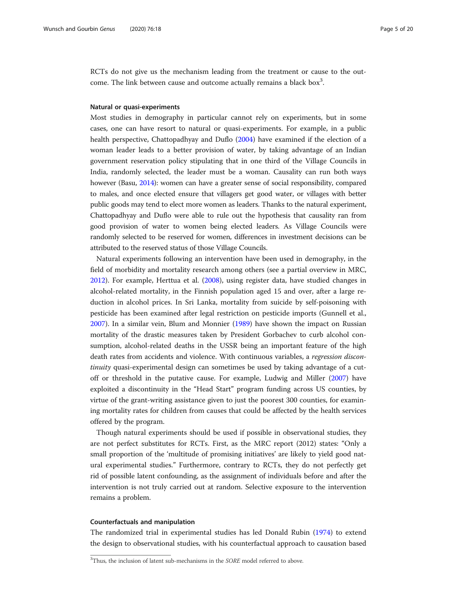RCTs do not give us the mechanism leading from the treatment or cause to the outcome. The link between cause and outcome actually remains a black box<sup>3</sup>.

#### Natural or quasi-experiments

Most studies in demography in particular cannot rely on experiments, but in some cases, one can have resort to natural or quasi-experiments. For example, in a public health perspective, Chattopadhyay and Duflo [\(2004\)](#page-17-0) have examined if the election of a woman leader leads to a better provision of water, by taking advantage of an Indian government reservation policy stipulating that in one third of the Village Councils in India, randomly selected, the leader must be a woman. Causality can run both ways however (Basu, [2014\)](#page-17-0): women can have a greater sense of social responsibility, compared to males, and once elected ensure that villagers get good water, or villages with better public goods may tend to elect more women as leaders. Thanks to the natural experiment, Chattopadhyay and Duflo were able to rule out the hypothesis that causality ran from good provision of water to women being elected leaders. As Village Councils were randomly selected to be reserved for women, differences in investment decisions can be attributed to the reserved status of those Village Councils.

Natural experiments following an intervention have been used in demography, in the field of morbidity and mortality research among others (see a partial overview in MRC, [2012](#page-18-0)). For example, Herttua et al. [\(2008](#page-18-0)), using register data, have studied changes in alcohol-related mortality, in the Finnish population aged 15 and over, after a large reduction in alcohol prices. In Sri Lanka, mortality from suicide by self-poisoning with pesticide has been examined after legal restriction on pesticide imports (Gunnell et al., [2007](#page-18-0)). In a similar vein, Blum and Monnier [\(1989\)](#page-17-0) have shown the impact on Russian mortality of the drastic measures taken by President Gorbachev to curb alcohol consumption, alcohol-related deaths in the USSR being an important feature of the high death rates from accidents and violence. With continuous variables, a regression discontinuity quasi-experimental design can sometimes be used by taking advantage of a cutoff or threshold in the putative cause. For example, Ludwig and Miller ([2007](#page-18-0)) have exploited a discontinuity in the "Head Start" program funding across US counties, by virtue of the grant-writing assistance given to just the poorest 300 counties, for examining mortality rates for children from causes that could be affected by the health services offered by the program.

Though natural experiments should be used if possible in observational studies, they are not perfect substitutes for RCTs. First, as the MRC report (2012) states: "Only a small proportion of the 'multitude of promising initiatives' are likely to yield good natural experimental studies." Furthermore, contrary to RCTs, they do not perfectly get rid of possible latent confounding, as the assignment of individuals before and after the intervention is not truly carried out at random. Selective exposure to the intervention remains a problem.

#### Counterfactuals and manipulation

The randomized trial in experimental studies has led Donald Rubin [\(1974\)](#page-19-0) to extend the design to observational studies, with his counterfactual approach to causation based

 $3$ Thus, the inclusion of latent sub-mechanisms in the SORE model referred to above.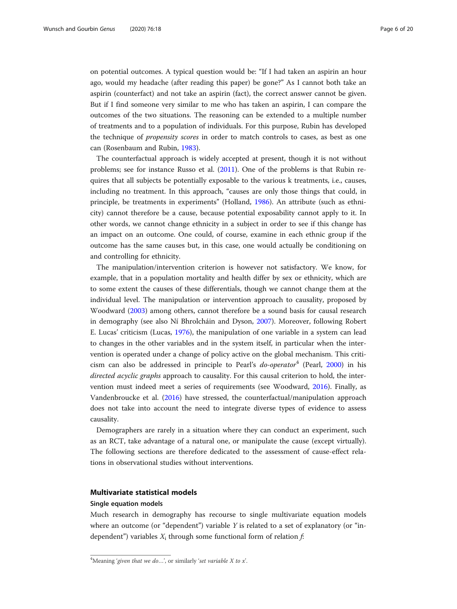<span id="page-5-0"></span>on potential outcomes. A typical question would be: "If I had taken an aspirin an hour ago, would my headache (after reading this paper) be gone?" As I cannot both take an aspirin (counterfact) and not take an aspirin (fact), the correct answer cannot be given. But if I find someone very similar to me who has taken an aspirin, I can compare the outcomes of the two situations. The reasoning can be extended to a multiple number of treatments and to a population of individuals. For this purpose, Rubin has developed the technique of propensity scores in order to match controls to cases, as best as one can (Rosenbaum and Rubin, [1983\)](#page-19-0).

The counterfactual approach is widely accepted at present, though it is not without problems; see for instance Russo et al. ([2011](#page-19-0)). One of the problems is that Rubin requires that all subjects be potentially exposable to the various k treatments, i.e., causes, including no treatment. In this approach, "causes are only those things that could, in principle, be treatments in experiments" (Holland, [1986](#page-18-0)). An attribute (such as ethnicity) cannot therefore be a cause, because potential exposability cannot apply to it. In other words, we cannot change ethnicity in a subject in order to see if this change has an impact on an outcome. One could, of course, examine in each ethnic group if the outcome has the same causes but, in this case, one would actually be conditioning on and controlling for ethnicity.

The manipulation/intervention criterion is however not satisfactory. We know, for example, that in a population mortality and health differ by sex or ethnicity, which are to some extent the causes of these differentials, though we cannot change them at the individual level. The manipulation or intervention approach to causality, proposed by Woodward ([2003](#page-19-0)) among others, cannot therefore be a sound basis for causal research in demography (see also Ní Bhrolcháin and Dyson, [2007](#page-18-0)). Moreover, following Robert E. Lucas' criticism (Lucas, [1976](#page-18-0)), the manipulation of one variable in a system can lead to changes in the other variables and in the system itself, in particular when the intervention is operated under a change of policy active on the global mechanism. This criticism can also be addressed in principle to Pearl's  $do-operator<sup>4</sup>$  (Pearl, [2000](#page-18-0)) in his directed acyclic graphs approach to causality. For this causal criterion to hold, the intervention must indeed meet a series of requirements (see Woodward, [2016](#page-19-0)). Finally, as Vandenbroucke et al. [\(2016\)](#page-19-0) have stressed, the counterfactual/manipulation approach does not take into account the need to integrate diverse types of evidence to assess causality.

Demographers are rarely in a situation where they can conduct an experiment, such as an RCT, take advantage of a natural one, or manipulate the cause (except virtually). The following sections are therefore dedicated to the assessment of cause-effect relations in observational studies without interventions.

#### Multivariate statistical models

#### Single equation models

Much research in demography has recourse to single multivariate equation models where an outcome (or "dependent") variable  $Y$  is related to a set of explanatory (or "independent") variables  $X_i$  through some functional form of relation f:

<sup>&</sup>lt;sup>4</sup>Meaning 'given that we do...', or similarly 'set variable X to x'.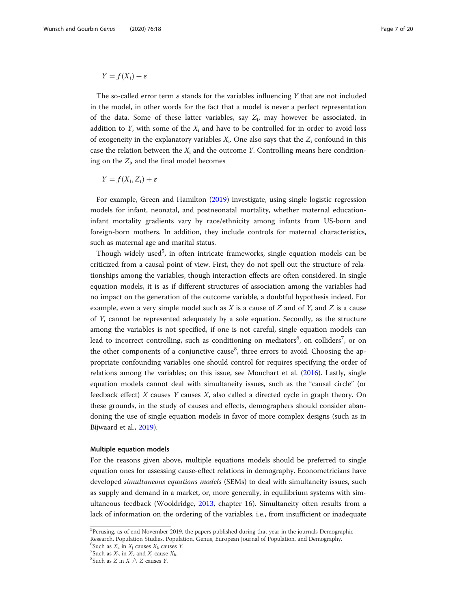# $Y = f(X_i) + \varepsilon$

The so-called error term  $\varepsilon$  stands for the variables influencing Y that are not included in the model, in other words for the fact that a model is never a perfect representation of the data. Some of these latter variables, say  $Z_i$ , may however be associated, in addition to Y, with some of the  $X_i$  and have to be controlled for in order to avoid loss of exogeneity in the explanatory variables  $X_i$ . One also says that the  $Z_i$  confound in this case the relation between the  $X_i$  and the outcome Y. Controlling means here conditioning on the  $Z_i$ , and the final model becomes

$$
Y = f(X_i, Z_i) + \varepsilon
$$

For example, Green and Hamilton [\(2019\)](#page-18-0) investigate, using single logistic regression models for infant, neonatal, and postneonatal mortality, whether maternal educationinfant mortality gradients vary by race/ethnicity among infants from US-born and foreign-born mothers. In addition, they include controls for maternal characteristics, such as maternal age and marital status.

Though widely used<sup>5</sup>, in often intricate frameworks, single equation models can be criticized from a causal point of view. First, they do not spell out the structure of relationships among the variables, though interaction effects are often considered. In single equation models, it is as if different structures of association among the variables had no impact on the generation of the outcome variable, a doubtful hypothesis indeed. For example, even a very simple model such as X is a cause of Z and of Y, and Z is a cause of Y, cannot be represented adequately by a sole equation. Secondly, as the structure among the variables is not specified, if one is not careful, single equation models can lead to incorrect controlling, such as conditioning on mediators<sup>6</sup>, on colliders<sup>7</sup>, or on the other components of a conjunctive cause<sup>8</sup>, three errors to avoid. Choosing the appropriate confounding variables one should control for requires specifying the order of relations among the variables; on this issue, see Mouchart et al. [\(2016\)](#page-18-0). Lastly, single equation models cannot deal with simultaneity issues, such as the "causal circle" (or feedback effect)  $X$  causes  $Y$  causes  $X$ , also called a directed cycle in graph theory. On these grounds, in the study of causes and effects, demographers should consider abandoning the use of single equation models in favor of more complex designs (such as in Bijwaard et al., [2019](#page-17-0)).

#### Multiple equation models

For the reasons given above, multiple equations models should be preferred to single equation ones for assessing cause-effect relations in demography. Econometricians have developed simultaneous equations models (SEMs) to deal with simultaneity issues, such as supply and demand in a market, or, more generally, in equilibrium systems with simultaneous feedback (Wooldridge, [2013](#page-19-0), chapter 16). Simultaneity often results from a lack of information on the ordering of the variables, i.e., from insufficient or inadequate

<sup>5</sup> Perusing, as of end November 2019, the papers published during that year in the journals Demographic Research, Population Studies, Population, Genus, European Journal of Population, and Demography.

<sup>&</sup>lt;sup>6</sup>Such as  $X_k$  in  $X_j$  causes  $X_k$  causes  $Y$ .

<sup>&</sup>lt;sup>7</sup>Such as  $X_h$  in  $X_k$  and  $X_j$  cause  $X_h$ .

<sup>&</sup>lt;sup>8</sup>Such as *Z* in *X*  $\land$  *Z* causes *Y*.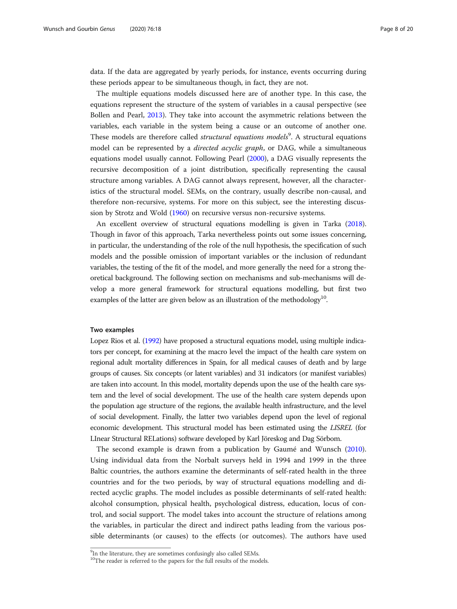data. If the data are aggregated by yearly periods, for instance, events occurring during these periods appear to be simultaneous though, in fact, they are not.

The multiple equations models discussed here are of another type. In this case, the equations represent the structure of the system of variables in a causal perspective (see Bollen and Pearl, [2013\)](#page-17-0). They take into account the asymmetric relations between the variables, each variable in the system being a cause or an outcome of another one. These models are therefore called *structural equations models*<sup>9</sup>. A structural equations model can be represented by a *directed acyclic graph*, or DAG, while a simultaneous equations model usually cannot. Following Pearl [\(2000\)](#page-18-0), a DAG visually represents the recursive decomposition of a joint distribution, specifically representing the causal structure among variables. A DAG cannot always represent, however, all the characteristics of the structural model. SEMs, on the contrary, usually describe non-causal, and therefore non-recursive, systems. For more on this subject, see the interesting discussion by Strotz and Wold [\(1960\)](#page-19-0) on recursive versus non-recursive systems.

An excellent overview of structural equations modelling is given in Tarka [\(2018](#page-19-0)). Though in favor of this approach, Tarka nevertheless points out some issues concerning, in particular, the understanding of the role of the null hypothesis, the specification of such models and the possible omission of important variables or the inclusion of redundant variables, the testing of the fit of the model, and more generally the need for a strong theoretical background. The following section on mechanisms and sub-mechanisms will develop a more general framework for structural equations modelling, but first two examples of the latter are given below as an illustration of the methodology<sup>10</sup>.

#### Two examples

Lopez Rios et al. ([1992](#page-18-0)) have proposed a structural equations model, using multiple indicators per concept, for examining at the macro level the impact of the health care system on regional adult mortality differences in Spain, for all medical causes of death and by large groups of causes. Six concepts (or latent variables) and 31 indicators (or manifest variables) are taken into account. In this model, mortality depends upon the use of the health care system and the level of social development. The use of the health care system depends upon the population age structure of the regions, the available health infrastructure, and the level of social development. Finally, the latter two variables depend upon the level of regional economic development. This structural model has been estimated using the LISREL (for LInear Structural RELations) software developed by Karl Jöreskog and Dag Sörbom.

The second example is drawn from a publication by Gaumé and Wunsch ([2010](#page-18-0)). Using individual data from the Norbalt surveys held in 1994 and 1999 in the three Baltic countries, the authors examine the determinants of self-rated health in the three countries and for the two periods, by way of structural equations modelling and directed acyclic graphs. The model includes as possible determinants of self-rated health: alcohol consumption, physical health, psychological distress, education, locus of control, and social support. The model takes into account the structure of relations among the variables, in particular the direct and indirect paths leading from the various possible determinants (or causes) to the effects (or outcomes). The authors have used

<sup>&</sup>lt;sup>9</sup>In the literature, they are sometimes confusingly also called SEMs.

<sup>&</sup>lt;sup>10</sup>The reader is referred to the papers for the full results of the models.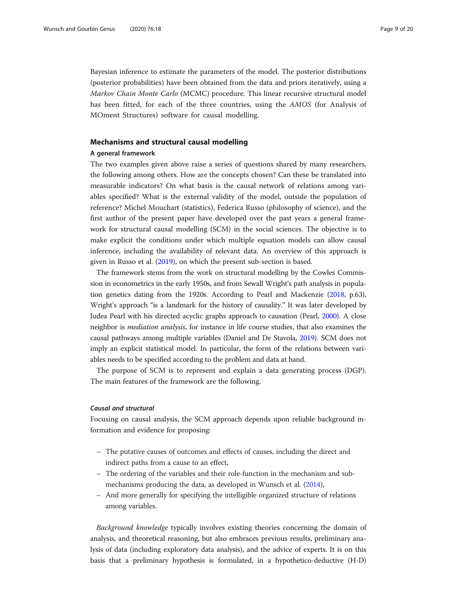Bayesian inference to estimate the parameters of the model. The posterior distributions (posterior probabilities) have been obtained from the data and priors iteratively, using a Markov Chain Monte Carlo (MCMC) procedure. This linear recursive structural model has been fitted, for each of the three countries, using the AMOS (for Analysis of MOment Structures) software for causal modelling.

## Mechanisms and structural causal modelling

#### A general framework

The two examples given above raise a series of questions shared by many researchers, the following among others. How are the concepts chosen? Can these be translated into measurable indicators? On what basis is the causal network of relations among variables specified? What is the external validity of the model, outside the population of reference? Michel Mouchart (statistics), Federica Russo (philosophy of science), and the first author of the present paper have developed over the past years a general framework for structural causal modelling (SCM) in the social sciences. The objective is to make explicit the conditions under which multiple equation models can allow causal inference, including the availability of relevant data. An overview of this approach is given in Russo et al. ([2019](#page-19-0)), on which the present sub-section is based.

The framework stems from the work on structural modelling by the Cowles Commission in econometrics in the early 1950s, and from Sewall Wright's path analysis in population genetics dating from the 1920s. According to Pearl and Mackenzie ([2018,](#page-19-0) p.63), Wright's approach "is a landmark for the history of causality." It was later developed by Judea Pearl with his directed acyclic graphs approach to causation (Pearl, [2000\)](#page-18-0). A close neighbor is mediation analysis, for instance in life course studies, that also examines the causal pathways among multiple variables (Daniel and De Stavola, [2019\)](#page-18-0). SCM does not imply an explicit statistical model. In particular, the form of the relations between variables needs to be specified according to the problem and data at hand.

The purpose of SCM is to represent and explain a data generating process (DGP). The main features of the framework are the following.

#### Causal and structural

Focusing on causal analysis, the SCM approach depends upon reliable background information and evidence for proposing:

- The putative causes of outcomes and effects of causes, including the direct and indirect paths from a cause to an effect,
- The ordering of the variables and their role-function in the mechanism and submechanisms producing the data, as developed in Wunsch et al. ([2014\)](#page-19-0),
- And more generally for specifying the intelligible organized structure of relations among variables.

Background knowledge typically involves existing theories concerning the domain of analysis, and theoretical reasoning, but also embraces previous results, preliminary analysis of data (including exploratory data analysis), and the advice of experts. It is on this basis that a preliminary hypothesis is formulated, in a hypothetico-deductive (H-D)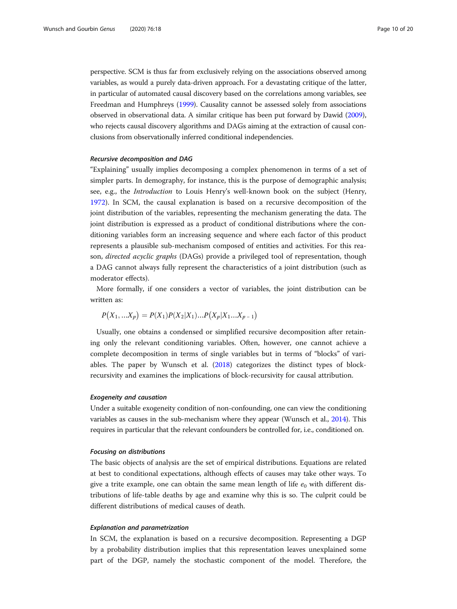perspective. SCM is thus far from exclusively relying on the associations observed among variables, as would a purely data-driven approach. For a devastating critique of the latter, in particular of automated causal discovery based on the correlations among variables, see Freedman and Humphreys [\(1999\)](#page-18-0). Causality cannot be assessed solely from associations observed in observational data. A similar critique has been put forward by Dawid [\(2009](#page-18-0)), who rejects causal discovery algorithms and DAGs aiming at the extraction of causal conclusions from observationally inferred conditional independencies.

#### Recursive decomposition and DAG

"Explaining" usually implies decomposing a complex phenomenon in terms of a set of simpler parts. In demography, for instance, this is the purpose of demographic analysis; see, e.g., the Introduction to Louis Henry's well-known book on the subject (Henry, [1972](#page-18-0)). In SCM, the causal explanation is based on a recursive decomposition of the joint distribution of the variables, representing the mechanism generating the data. The joint distribution is expressed as a product of conditional distributions where the conditioning variables form an increasing sequence and where each factor of this product represents a plausible sub-mechanism composed of entities and activities. For this reason, directed acyclic graphs (DAGs) provide a privileged tool of representation, though a DAG cannot always fully represent the characteristics of a joint distribution (such as moderator effects).

More formally, if one considers a vector of variables, the joint distribution can be written as:

$$
P(X_1, \ldots, X_p) = P(X_1)P(X_2|X_1) \ldots P(X_p|X_1 \ldots X_{p-1})
$$

Usually, one obtains a condensed or simplified recursive decomposition after retaining only the relevant conditioning variables. Often, however, one cannot achieve a complete decomposition in terms of single variables but in terms of "blocks" of variables. The paper by Wunsch et al. [\(2018\)](#page-19-0) categorizes the distinct types of blockrecursivity and examines the implications of block-recursivity for causal attribution.

#### Exogeneity and causation

Under a suitable exogeneity condition of non-confounding, one can view the conditioning variables as causes in the sub-mechanism where they appear (Wunsch et al., [2014](#page-19-0)). This requires in particular that the relevant confounders be controlled for, i.e., conditioned on.

#### Focusing on distributions

The basic objects of analysis are the set of empirical distributions. Equations are related at best to conditional expectations, although effects of causes may take other ways. To give a trite example, one can obtain the same mean length of life  $e_0$  with different distributions of life-table deaths by age and examine why this is so. The culprit could be different distributions of medical causes of death.

#### Explanation and parametrization

In SCM, the explanation is based on a recursive decomposition. Representing a DGP by a probability distribution implies that this representation leaves unexplained some part of the DGP, namely the stochastic component of the model. Therefore, the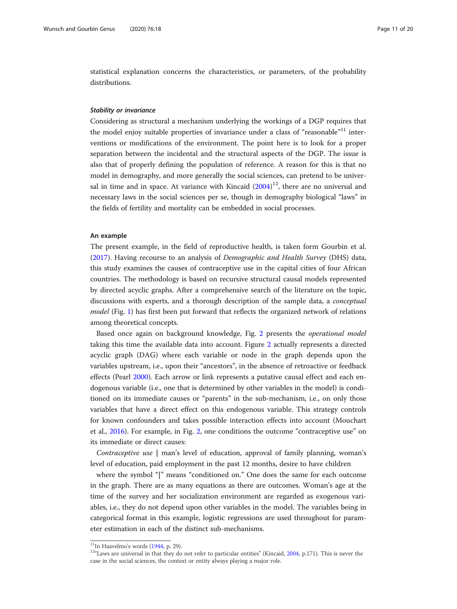statistical explanation concerns the characteristics, or parameters, of the probability distributions.

#### Stability or invariance

Considering as structural a mechanism underlying the workings of a DGP requires that the model enjoy suitable properties of invariance under a class of "reasonable"<sup>11</sup> interventions or modifications of the environment. The point here is to look for a proper separation between the incidental and the structural aspects of the DGP. The issue is also that of properly defining the population of reference. A reason for this is that no model in demography, and more generally the social sciences, can pretend to be universal in time and in space. At variance with Kincaid  $(2004)^{12}$  $(2004)^{12}$  $(2004)^{12}$ , there are no universal and necessary laws in the social sciences per se, though in demography biological "laws" in the fields of fertility and mortality can be embedded in social processes.

#### An example

The present example, in the field of reproductive health, is taken form Gourbin et al. ([2017](#page-18-0)). Having recourse to an analysis of Demographic and Health Survey (DHS) data, this study examines the causes of contraceptive use in the capital cities of four African countries. The methodology is based on recursive structural causal models represented by directed acyclic graphs. After a comprehensive search of the literature on the topic, discussions with experts, and a thorough description of the sample data, a conceptual model (Fig. [1\)](#page-11-0) has first been put forward that reflects the organized network of relations among theoretical concepts.

Based once again on background knowledge, Fig. [2](#page-11-0) presents the operational model taking this time the available data into account. Figure [2](#page-11-0) actually represents a directed acyclic graph (DAG) where each variable or node in the graph depends upon the variables upstream, i.e., upon their "ancestors", in the absence of retroactive or feedback effects (Pearl [2000](#page-18-0)). Each arrow or link represents a putative causal effect and each endogenous variable (i.e., one that is determined by other variables in the model) is conditioned on its immediate causes or "parents" in the sub-mechanism, i.e., on only those variables that have a direct effect on this endogenous variable. This strategy controls for known confounders and takes possible interaction effects into account (Mouchart et al., [2016](#page-18-0)). For example, in Fig. [2](#page-11-0), one conditions the outcome "contraceptive use" on its immediate or direct causes:

Contraceptive use | man's level of education, approval of family planning, woman's level of education, paid employment in the past 12 months, desire to have children

where the symbol "|" means "conditioned on." One does the same for each outcome in the graph. There are as many equations as there are outcomes. Woman's age at the time of the survey and her socialization environment are regarded as exogenous variables, i.e., they do not depend upon other variables in the model. The variables being in categorical format in this example, logistic regressions are used throughout for parameter estimation in each of the distinct sub-mechanisms.

<sup>&</sup>lt;sup>11</sup>In Haavelmo's words [\(1944,](#page-18-0) p. 29).<br><sup>12</sup>"Laws are universal in that they do not refer to particular entities" (Kincaid, [2004,](#page-18-0) p.171). This is never the case in the social sciences, the context or entity always playing a major role.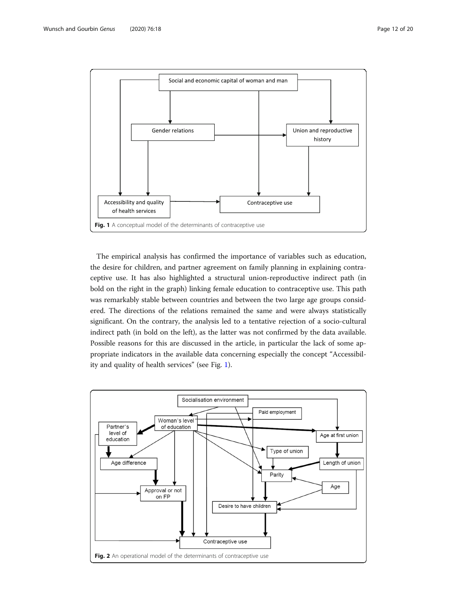<span id="page-11-0"></span>

The empirical analysis has confirmed the importance of variables such as education, the desire for children, and partner agreement on family planning in explaining contraceptive use. It has also highlighted a structural union-reproductive indirect path (in bold on the right in the graph) linking female education to contraceptive use. This path was remarkably stable between countries and between the two large age groups considered. The directions of the relations remained the same and were always statistically significant. On the contrary, the analysis led to a tentative rejection of a socio-cultural indirect path (in bold on the left), as the latter was not confirmed by the data available. Possible reasons for this are discussed in the article, in particular the lack of some appropriate indicators in the available data concerning especially the concept "Accessibility and quality of health services" (see Fig. 1).

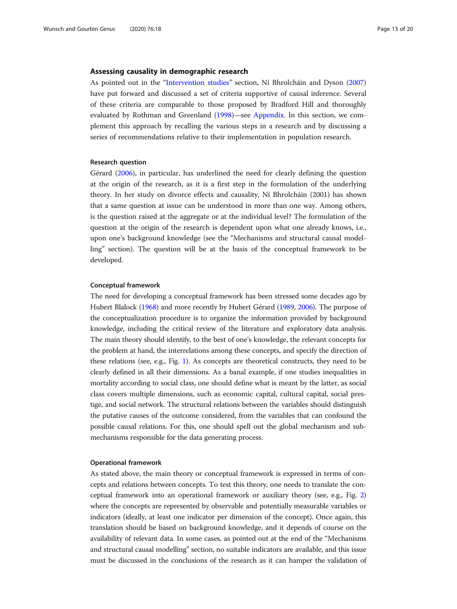#### Assessing causality in demographic research

As pointed out in the "[Intervention studies](#page-3-0)" section, Ní Bhrolcháin and Dyson ([2007](#page-18-0)) have put forward and discussed a set of criteria supportive of causal inference. Several of these criteria are comparable to those proposed by Bradford Hill and thoroughly evaluated by Rothman and Greenland [\(1998](#page-19-0))—see [Appendix](#page-17-0). In this section, we complement this approach by recalling the various steps in a research and by discussing a series of recommendations relative to their implementation in population research.

#### Research question

Gérard [\(2006\)](#page-18-0), in particular, has underlined the need for clearly defining the question at the origin of the research, as it is a first step in the formulation of the underlying theory. In her study on divorce effects and causality, Ní Bhrolcháin (2001) has shown that a same question at issue can be understood in more than one way. Among others, is the question raised at the aggregate or at the individual level? The formulation of the question at the origin of the research is dependent upon what one already knows, i.e., upon one's background knowledge (see the "Mechanisms and structural causal modelling" section). The question will be at the basis of the conceptual framework to be developed.

#### Conceptual framework

The need for developing a conceptual framework has been stressed some decades ago by Hubert Blalock [\(1968\)](#page-17-0) and more recently by Hubert Gérard [\(1989](#page-18-0), [2006\)](#page-18-0). The purpose of the conceptualization procedure is to organize the information provided by background knowledge, including the critical review of the literature and exploratory data analysis. The main theory should identify, to the best of one's knowledge, the relevant concepts for the problem at hand, the interrelations among these concepts, and specify the direction of these relations (see, e.g., Fig. [1](#page-11-0)). As concepts are theoretical constructs, they need to be clearly defined in all their dimensions. As a banal example, if one studies inequalities in mortality according to social class, one should define what is meant by the latter, as social class covers multiple dimensions, such as economic capital, cultural capital, social prestige, and social network. The structural relations between the variables should distinguish the putative causes of the outcome considered, from the variables that can confound the possible causal relations. For this, one should spell out the global mechanism and submechanisms responsible for the data generating process.

## Operational framework

As stated above, the main theory or conceptual framework is expressed in terms of concepts and relations between concepts. To test this theory, one needs to translate the conceptual framework into an operational framework or auxiliary theory (see, e.g., Fig. [2](#page-11-0)) where the concepts are represented by observable and potentially measurable variables or indicators (ideally, at least one indicator per dimension of the concept). Once again, this translation should be based on background knowledge, and it depends of course on the availability of relevant data. In some cases, as pointed out at the end of the "Mechanisms and structural causal modelling" section, no suitable indicators are available, and this issue must be discussed in the conclusions of the research as it can hamper the validation of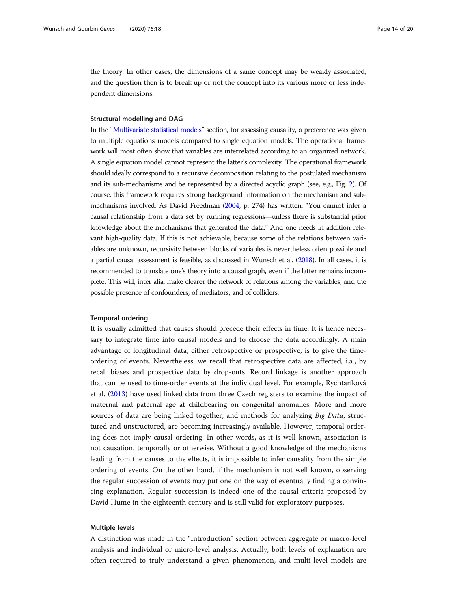the theory. In other cases, the dimensions of a same concept may be weakly associated, and the question then is to break up or not the concept into its various more or less independent dimensions.

#### Structural modelling and DAG

In the "[Multivariate statistical models](#page-5-0)" section, for assessing causality, a preference was given to multiple equations models compared to single equation models. The operational framework will most often show that variables are interrelated according to an organized network. A single equation model cannot represent the latter's complexity. The operational framework should ideally correspond to a recursive decomposition relating to the postulated mechanism and its sub-mechanisms and be represented by a directed acyclic graph (see, e.g., Fig. [2](#page-11-0)). Of course, this framework requires strong background information on the mechanism and submechanisms involved. As David Freedman [\(2004,](#page-18-0) p. 274) has written: "You cannot infer a causal relationship from a data set by running regressions—unless there is substantial prior knowledge about the mechanisms that generated the data." And one needs in addition relevant high-quality data. If this is not achievable, because some of the relations between variables are unknown, recursivity between blocks of variables is nevertheless often possible and a partial causal assessment is feasible, as discussed in Wunsch et al. ([2018](#page-19-0)). In all cases, it is recommended to translate one's theory into a causal graph, even if the latter remains incomplete. This will, inter alia, make clearer the network of relations among the variables, and the possible presence of confounders, of mediators, and of colliders.

#### Temporal ordering

It is usually admitted that causes should precede their effects in time. It is hence necessary to integrate time into causal models and to choose the data accordingly. A main advantage of longitudinal data, either retrospective or prospective, is to give the timeordering of events. Nevertheless, we recall that retrospective data are affected, i.a., by recall biases and prospective data by drop-outs. Record linkage is another approach that can be used to time-order events at the individual level. For example, Rychtaríková et al. ([2013](#page-19-0)) have used linked data from three Czech registers to examine the impact of maternal and paternal age at childbearing on congenital anomalies. More and more sources of data are being linked together, and methods for analyzing *Big Data*, structured and unstructured, are becoming increasingly available. However, temporal ordering does not imply causal ordering. In other words, as it is well known, association is not causation, temporally or otherwise. Without a good knowledge of the mechanisms leading from the causes to the effects, it is impossible to infer causality from the simple ordering of events. On the other hand, if the mechanism is not well known, observing the regular succession of events may put one on the way of eventually finding a convincing explanation. Regular succession is indeed one of the causal criteria proposed by David Hume in the eighteenth century and is still valid for exploratory purposes.

#### Multiple levels

A distinction was made in the "Introduction" section between aggregate or macro-level analysis and individual or micro-level analysis. Actually, both levels of explanation are often required to truly understand a given phenomenon, and multi-level models are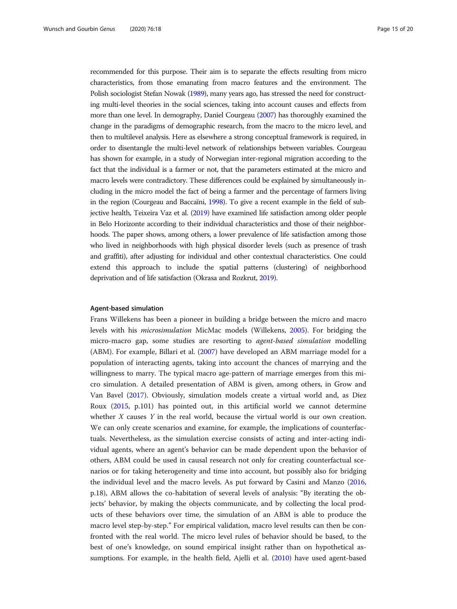recommended for this purpose. Their aim is to separate the effects resulting from micro characteristics, from those emanating from macro features and the environment. The Polish sociologist Stefan Nowak [\(1989](#page-18-0)), many years ago, has stressed the need for constructing multi-level theories in the social sciences, taking into account causes and effects from more than one level. In demography, Daniel Courgeau [\(2007\)](#page-17-0) has thoroughly examined the change in the paradigms of demographic research, from the macro to the micro level, and then to multilevel analysis. Here as elsewhere a strong conceptual framework is required, in order to disentangle the multi-level network of relationships between variables. Courgeau has shown for example, in a study of Norwegian inter-regional migration according to the fact that the individual is a farmer or not, that the parameters estimated at the micro and macro levels were contradictory. These differences could be explained by simultaneously including in the micro model the fact of being a farmer and the percentage of farmers living in the region (Courgeau and Baccaïni, [1998\)](#page-18-0). To give a recent example in the field of subjective health, Teixeira Vaz et al. [\(2019](#page-19-0)) have examined life satisfaction among older people in Belo Horizonte according to their individual characteristics and those of their neighborhoods. The paper shows, among others, a lower prevalence of life satisfaction among those who lived in neighborhoods with high physical disorder levels (such as presence of trash and graffiti), after adjusting for individual and other contextual characteristics. One could extend this approach to include the spatial patterns (clustering) of neighborhood deprivation and of life satisfaction (Okrasa and Rozkrut, [2019](#page-18-0)).

#### Agent-based simulation

Frans Willekens has been a pioneer in building a bridge between the micro and macro levels with his microsimulation MicMac models (Willekens, [2005](#page-19-0)). For bridging the micro-macro gap, some studies are resorting to agent-based simulation modelling (ABM). For example, Billari et al. ([2007](#page-17-0)) have developed an ABM marriage model for a population of interacting agents, taking into account the chances of marrying and the willingness to marry. The typical macro age-pattern of marriage emerges from this micro simulation. A detailed presentation of ABM is given, among others, in Grow and Van Bavel [\(2017\)](#page-18-0). Obviously, simulation models create a virtual world and, as Diez Roux ([2015](#page-18-0), p.101) has pointed out, in this artificial world we cannot determine whether  $X$  causes  $Y$  in the real world, because the virtual world is our own creation. We can only create scenarios and examine, for example, the implications of counterfactuals. Nevertheless, as the simulation exercise consists of acting and inter-acting individual agents, where an agent's behavior can be made dependent upon the behavior of others, ABM could be used in causal research not only for creating counterfactual scenarios or for taking heterogeneity and time into account, but possibly also for bridging the individual level and the macro levels. As put forward by Casini and Manzo ([2016](#page-17-0), p.18), ABM allows the co-habitation of several levels of analysis: "By iterating the objects' behavior, by making the objects communicate, and by collecting the local products of these behaviors over time, the simulation of an ABM is able to produce the macro level step-by-step." For empirical validation, macro level results can then be confronted with the real world. The micro level rules of behavior should be based, to the best of one's knowledge, on sound empirical insight rather than on hypothetical assumptions. For example, in the health field, Ajelli et al. ([2010](#page-17-0)) have used agent-based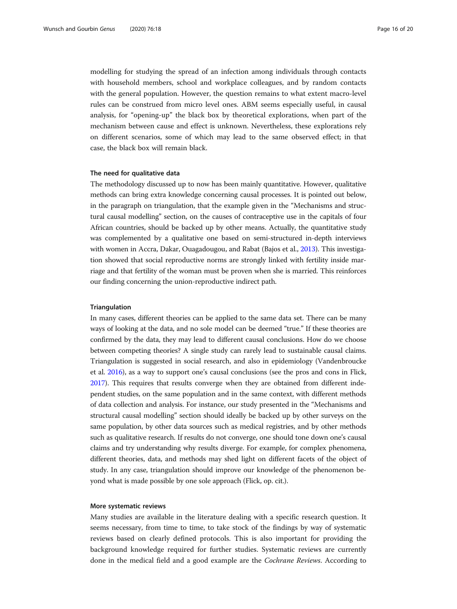modelling for studying the spread of an infection among individuals through contacts with household members, school and workplace colleagues, and by random contacts with the general population. However, the question remains to what extent macro-level rules can be construed from micro level ones. ABM seems especially useful, in causal analysis, for "opening-up" the black box by theoretical explorations, when part of the mechanism between cause and effect is unknown. Nevertheless, these explorations rely on different scenarios, some of which may lead to the same observed effect; in that case, the black box will remain black.

#### The need for qualitative data

The methodology discussed up to now has been mainly quantitative. However, qualitative methods can bring extra knowledge concerning causal processes. It is pointed out below, in the paragraph on triangulation, that the example given in the "Mechanisms and structural causal modelling" section, on the causes of contraceptive use in the capitals of four African countries, should be backed up by other means. Actually, the quantitative study was complemented by a qualitative one based on semi-structured in-depth interviews with women in Accra, Dakar, Ouagadougou, and Rabat (Bajos et al., [2013](#page-17-0)). This investigation showed that social reproductive norms are strongly linked with fertility inside marriage and that fertility of the woman must be proven when she is married. This reinforces our finding concerning the union-reproductive indirect path.

#### **Triangulation**

In many cases, different theories can be applied to the same data set. There can be many ways of looking at the data, and no sole model can be deemed "true." If these theories are confirmed by the data, they may lead to different causal conclusions. How do we choose between competing theories? A single study can rarely lead to sustainable causal claims. Triangulation is suggested in social research, and also in epidemiology (Vandenbroucke et al. [2016](#page-19-0)), as a way to support one's causal conclusions (see the pros and cons in Flick, [2017\)](#page-18-0). This requires that results converge when they are obtained from different independent studies, on the same population and in the same context, with different methods of data collection and analysis. For instance, our study presented in the "Mechanisms and structural causal modelling" section should ideally be backed up by other surveys on the same population, by other data sources such as medical registries, and by other methods such as qualitative research. If results do not converge, one should tone down one's causal claims and try understanding why results diverge. For example, for complex phenomena, different theories, data, and methods may shed light on different facets of the object of study. In any case, triangulation should improve our knowledge of the phenomenon beyond what is made possible by one sole approach (Flick, op. cit.).

#### More systematic reviews

Many studies are available in the literature dealing with a specific research question. It seems necessary, from time to time, to take stock of the findings by way of systematic reviews based on clearly defined protocols. This is also important for providing the background knowledge required for further studies. Systematic reviews are currently done in the medical field and a good example are the Cochrane Reviews. According to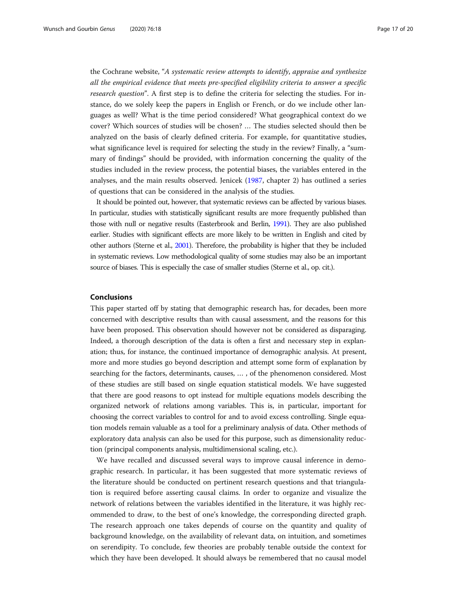the Cochrane website, "A systematic review attempts to identify, appraise and synthesize all the empirical evidence that meets pre-specified eligibility criteria to answer a specific research question". A first step is to define the criteria for selecting the studies. For instance, do we solely keep the papers in English or French, or do we include other languages as well? What is the time period considered? What geographical context do we cover? Which sources of studies will be chosen? … The studies selected should then be analyzed on the basis of clearly defined criteria. For example, for quantitative studies, what significance level is required for selecting the study in the review? Finally, a "summary of findings" should be provided, with information concerning the quality of the studies included in the review process, the potential biases, the variables entered in the analyses, and the main results observed. Jenicek ([1987](#page-18-0), chapter 2) has outlined a series of questions that can be considered in the analysis of the studies.

It should be pointed out, however, that systematic reviews can be affected by various biases. In particular, studies with statistically significant results are more frequently published than those with null or negative results (Easterbrook and Berlin, [1991](#page-18-0)). They are also published earlier. Studies with significant effects are more likely to be written in English and cited by other authors (Sterne et al., [2001\)](#page-19-0). Therefore, the probability is higher that they be included in systematic reviews. Low methodological quality of some studies may also be an important source of biases. This is especially the case of smaller studies (Sterne et al., op. cit.).

# Conclusions

This paper started off by stating that demographic research has, for decades, been more concerned with descriptive results than with causal assessment, and the reasons for this have been proposed. This observation should however not be considered as disparaging. Indeed, a thorough description of the data is often a first and necessary step in explanation; thus, for instance, the continued importance of demographic analysis. At present, more and more studies go beyond description and attempt some form of explanation by searching for the factors, determinants, causes, … , of the phenomenon considered. Most of these studies are still based on single equation statistical models. We have suggested that there are good reasons to opt instead for multiple equations models describing the organized network of relations among variables. This is, in particular, important for choosing the correct variables to control for and to avoid excess controlling. Single equation models remain valuable as a tool for a preliminary analysis of data. Other methods of exploratory data analysis can also be used for this purpose, such as dimensionality reduction (principal components analysis, multidimensional scaling, etc.).

We have recalled and discussed several ways to improve causal inference in demographic research. In particular, it has been suggested that more systematic reviews of the literature should be conducted on pertinent research questions and that triangulation is required before asserting causal claims. In order to organize and visualize the network of relations between the variables identified in the literature, it was highly recommended to draw, to the best of one's knowledge, the corresponding directed graph. The research approach one takes depends of course on the quantity and quality of background knowledge, on the availability of relevant data, on intuition, and sometimes on serendipity. To conclude, few theories are probably tenable outside the context for which they have been developed. It should always be remembered that no causal model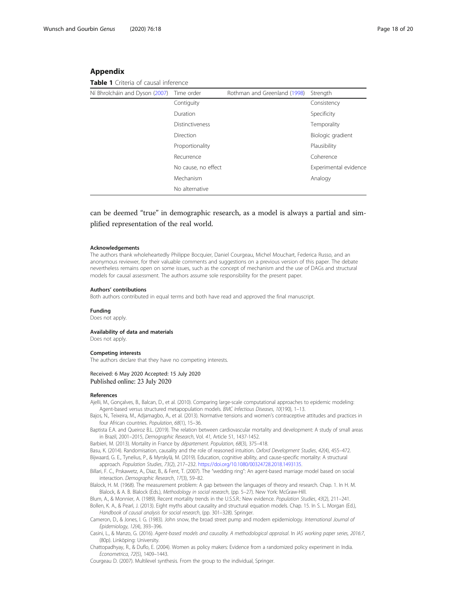## <span id="page-17-0"></span>Appendix

Table 1 Criteria of causal inference

| Ní Bhrolcháin and Dyson (2007) Time order |                        | Rothman and Greenland (1998) | Strength              |
|-------------------------------------------|------------------------|------------------------------|-----------------------|
|                                           | Contiguity             |                              | Consistency           |
|                                           | Duration               |                              | Specificity           |
|                                           | <b>Distinctiveness</b> |                              | Temporality           |
|                                           | Direction              |                              | Biologic gradient     |
|                                           | Proportionality        |                              | Plausibility          |
|                                           | Recurrence             |                              | Coherence             |
|                                           | No cause, no effect    |                              | Experimental evidence |
|                                           | Mechanism              |                              | Analogy               |
|                                           | No alternative         |                              |                       |
|                                           |                        |                              |                       |

can be deemed "true" in demographic research, as a model is always a partial and simplified representation of the real world.

#### Acknowledgements

The authors thank wholeheartedly Philippe Bocquier, Daniel Courgeau, Michel Mouchart, Federica Russo, and an anonymous reviewer, for their valuable comments and suggestions on a previous version of this paper. The debate nevertheless remains open on some issues, such as the concept of mechanism and the use of DAGs and structural models for causal assessment. The authors assume sole responsibility for the present paper.

#### Authors' contributions

Both authors contributed in equal terms and both have read and approved the final manuscript.

#### Funding

Does not apply.

#### Availability of data and materials

Does not apply.

#### Competing interests

The authors declare that they have no competing interests.

#### Received: 6 May 2020 Accepted: 15 July 2020 Published online: 23 July 2020

#### References

Ajelli, M., Gonçalves, B., Balcan, D., et al. (2010). Comparing large-scale computational approaches to epidemic modeling: Agent-based versus structured metapopulation models. BMC Infectious Diseases, 10(190), 1–13.

Bajos, N., Teixeira, M., Adjamagbo, A., et al. (2013). Normative tensions and women's contraceptive attitudes and practices in four African countries. Population, 68(1), 15–36.

Baptista E.A. and Queiroz B.L. (2019). The relation between cardiovascular mortality and development: A study of small areas in Brazil, 2001–2015, Demographic Research, Vol. 41, Article 51, 1437-1452.

Barbieri, M. (2013). Mortality in France by département. Population, 68(3), 375–418.

Basu, K. (2014). Randomisation, causality and the role of reasoned intuition. Oxford Development Studies, 42(4), 455–472. Bijwaard, G. E., Tynelius, P., & Myrskylä, M. (2019). Education, cognitive ability, and cause-specific mortality: A structural approach. Population Studies, 73(2), 217–232. [https://doi.org/10.1080/00324728.2018.1493135.](https://doi.org/10.1080/00324728.2018.1493135)

Billari, F. C., Prskawetz, A., Diaz, B., & Fent, T. (2007). The "wedding ring": An agent-based marriage model based on social interaction. Demographic Research, 17(3), 59–82.

Blalock, H. M. (1968). The measurement problem: A gap between the languages of theory and research. Chap. 1. In H. M. Blalock, & A. B. Blalock (Eds.), Methodology in social research, (pp. 5–27). New York: McGraw-Hill.

Blum, A., & Monnier, A. (1989). Recent mortality trends in the U.S.S.R.: New evidence. Population Studies, 43(2), 211–241. Bollen, K. A., & Pearl, J. (2013). Eight myths about causality and structural equation models. Chap. 15. In S. L. Morgan (Ed.), Handbook of causal analysis for social research, (pp. 301–328). Springer.

Cameron, D., & Jones, I. G. (1983). John snow, the broad street pump and modern epidemiology. International Journal of Epidemiology, 12(4), 393–396.

Casini, L., & Manzo, G. (2016). Agent-based models and causality. A methodological appraisal. In IAS working paper series, 2016:7, (80p). Linköping: University.

Chattopadhyay, R., & Duflo, E. (2004). Women as policy makers: Evidence from a randomized policy experiment in India. Econometrica, 72(5), 1409–1443.

Courgeau D. (2007). Multilevel synthesis. From the group to the individual, Springer.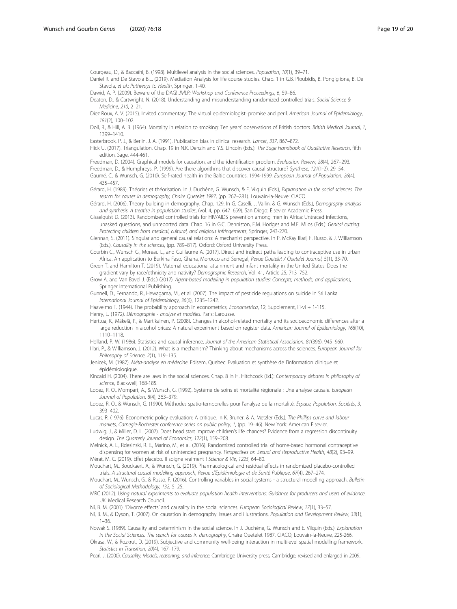<span id="page-18-0"></span>Courgeau, D., & Baccaïni, B. (1998). Multilevel analysis in the social sciences. Population, 10(1), 39–71.

Daniel R. and De Stavola B.L. (2019). Mediation Analysis for life course studies. Chap. 1 in G.B. Ploubidis, B. Pongiglione, B. De Stavola, et al.: Pathways to Health, Springer, 1-40.

Dawid, A. P. (2009). Beware of the DAG! JMLR: Workshop and Conference Proceedings, 6, 59–86.

- Deaton, D., & Cartwright, N. (2018). Understanding and misunderstanding randomized controlled trials. Social Science & Medicine, 210, 2–21.
- Diez Roux, A. V. (2015). Invited commentary: The virtual epidemiologist–promise and peril. American Journal of Epidemiology, 181(2), 100–102.
- Doll, R., & Hill, A. B. (1964). Mortality in relation to smoking: Ten years' observations of British doctors. British Medical Journal, 1, 1399–1410.

Easterbrook, P. J., & Berlin, J. A. (1991). Publication bias in clinical research. Lancet, 337, 867–872.

Flick U. (2017). Triangulation. Chap. 19 in N.K. Denzin and Y.S. Lincoln (Eds.): The Sage Handbook of Qualitative Research, fifth edition, Sage, 444-461.

Freedman, D. (2004). Graphical models for causation, and the identification problem. Evaluation Review, 28(4), 267–293.

Freedman, D., & Humphreys, P. (1999). Are there algorithms that discover causal structure? Synthese, 121(1-2), 29–54. Gaumé, C., & Wunsch, G. (2010). Self-rated health in the Baltic countries, 1994-1999. European Journal of Population, 26(4),

435–457.

- Gérard, H. (1989). Théories et théorisation. In J. Duchêne, G. Wunsch, & E. Vilquin (Eds.), Explanation in the social sciences. The search for causes in demography, Chaire Quetelet 1987, (pp. 267–281). Louvain-la-Neuve: CIACO.
- Gérard, H. (2006). Theory building in demography. Chap. 129. In G. Caselli, J. Vallin, & G. Wunsch (Eds.), Demography analysis and synthesis. A treatise in population studies, (vol. 4, pp. 647–659). San Diego: Elsevier Academic Press.

Gisselquist D. (2013). Randomized controlled trials for HIV/AIDS prevention among men in Africa: Untraced infections, unasked questions, and unreported data. Chap. 16 in G.C. Denniston, F.M. Hodges and M.F. Milos (Eds.): Genital cutting: Protecting children from medical, cultural, and religious infringements, Springer, 243-270.

Glennan, S. (2011). Singular and general causal relations: A mechanist perspective. In P. McKay Illari, F. Russo, & J. Williamson (Eds.), Causality in the sciences, (pp. 789–817). Oxford: Oxford University Press.

- Gourbin C., Wunsch G., Moreau L., and Guillaume A. (2017). Direct and indirect paths leading to contraceptive use in urban Africa. An application to Burkina Faso, Ghana, Morocco and Senegal, Revue Quetelet / Quetelet Journal, 5(1), 33-70.
- Green T. and Hamilton T. (2019). Maternal educational attainment and infant mortality in the United States: Does the gradient vary by race/ethnicity and nativity? Demographic Research, Vol. 41, Article 25, 713–752.
- Grow A. and Van Bavel J. (Eds.) (2017). Agent-based modelling in population studies: Concepts, methods, and applications, Springer International Publishing.
- Gunnell, D., Fernando, R., Hewagama, M., et al. (2007). The impact of pesticide regulations on suicide in Sri Lanka. International Journal of Epidemiology, 36(6), 1235–1242.
- Haavelmo T. (1944). The probability approach in econometrics, Econometrica, 12, Supplement, iii-vi + 1-115. Henry, L. (1972). Démographie - analyse et modèles. Paris: Larousse.
- Herttua, K., Mäkelä, P., & Martikainen, P. (2008). Changes in alcohol-related mortality and its socioeconomic differences after a large reduction in alcohol prices: A natural experiment based on register data. American Journal of Epidemiology, 168(10), 1110–1118.
- Holland, P. W. (1986). Statistics and causal inference. Journal of the American Statistical Association, 81(396), 945–960.
- Illari, P., & Williamson, J. (2012). What is a mechanism? Thinking about mechanisms across the sciences. European Journal for Philosophy of Science, 2(1), 119-135.
- Jenicek, M. (1987). Méta-analyse en médecine. Edisem, Quebec: Evaluation et synthèse de l'information clinique et épidémiologique.
- Kincaid H. (2004). There are laws in the social sciences. Chap. 8 in H. Hitchcock (Ed.): Contemporary debates in philosophy of science, Blackwell, 168-185.
- Lopez, R. O., Mompart, A., & Wunsch, G. (1992). Système de soins et mortalité régionale : Une analyse causale. European Journal of Population, 8(4), 363–379.
- Lopez, R. O., & Wunsch, G. (1990). Méthodes spatio-temporelles pour l'analyse de la mortalité. Espace, Population, Sociétés, 3, 393–402.
- Lucas, R. (1976). Econometric policy evaluation: A critique. In K. Bruner, & A. Metzler (Eds.), The Phillips curve and labour markets, Carnegie-Rochester conference series on public policy, 1, (pp. 19–46). New York: American Elsevier.

Ludwig, J., & Miller, D. L. (2007). Does head start improve children's life chances? Evidence from a regression discontinuity design. The Quarterly Journal of Economics, 122(1), 159–208.

Melnick, A. L., Rdesinski, R. E., Marino, M., et al. (2016). Randomized controlled trial of home-based hormonal contraceptive dispensing for women at risk of unintended pregnancy. Perspectives on Sexual and Reproductive Health, 48(2), 93–99. Mérat, M. C. (2019). Effet placebo. Il soigne vraiment ! Science & Vie, 1225, 64–80.

Mouchart, M., Bouckaert, A., & Wunsch, G. (2019). Pharmacological and residual effects in randomized placebo-controlled trials. A structural causal modelling approach, Revue d'Epidémiologie et de Santé Publique, 67(4), 267–274.

- Mouchart, M., Wunsch, G., & Russo, F. (2016). Controlling variables in social systems a structural modelling approach. Bulletin of Sociological Methodology, 132, 5–25.
- MRC (2012). Using natural experiments to evaluate population health interventions: Guidance for producers and users of evidence. UK: Medical Research Council.
- Ní, B. M. (2001). 'Divorce effects' and causality in the social sciences. European Sociological Review, 17(1), 33–57.
- Ní, B. M., & Dyson, T. (2007). On causation in demography: Issues and illustrations. Population and Development Review, 33(1), 1–36.
- Nowak S. (1989). Causality and determinism in the social science. In J. Duchêne, G. Wunsch and E. Vilquin (Eds.): Explanation in the Social Sciences. The search for causes in demography, Chaire Quetelet 1987, CIACO, Louvain-la-Neuve, 225-266.
- Okrasa, W., & Rozkrut, D. (2019). Subjective and community well-being interaction in multilevel spatial modelling framework. Statistics in Transition, 20(4), 167–179.
- Pearl, J. (2000). Causality. Models, reasoning, and inference. Cambridge University press, Cambridge, revised and enlarged in 2009.